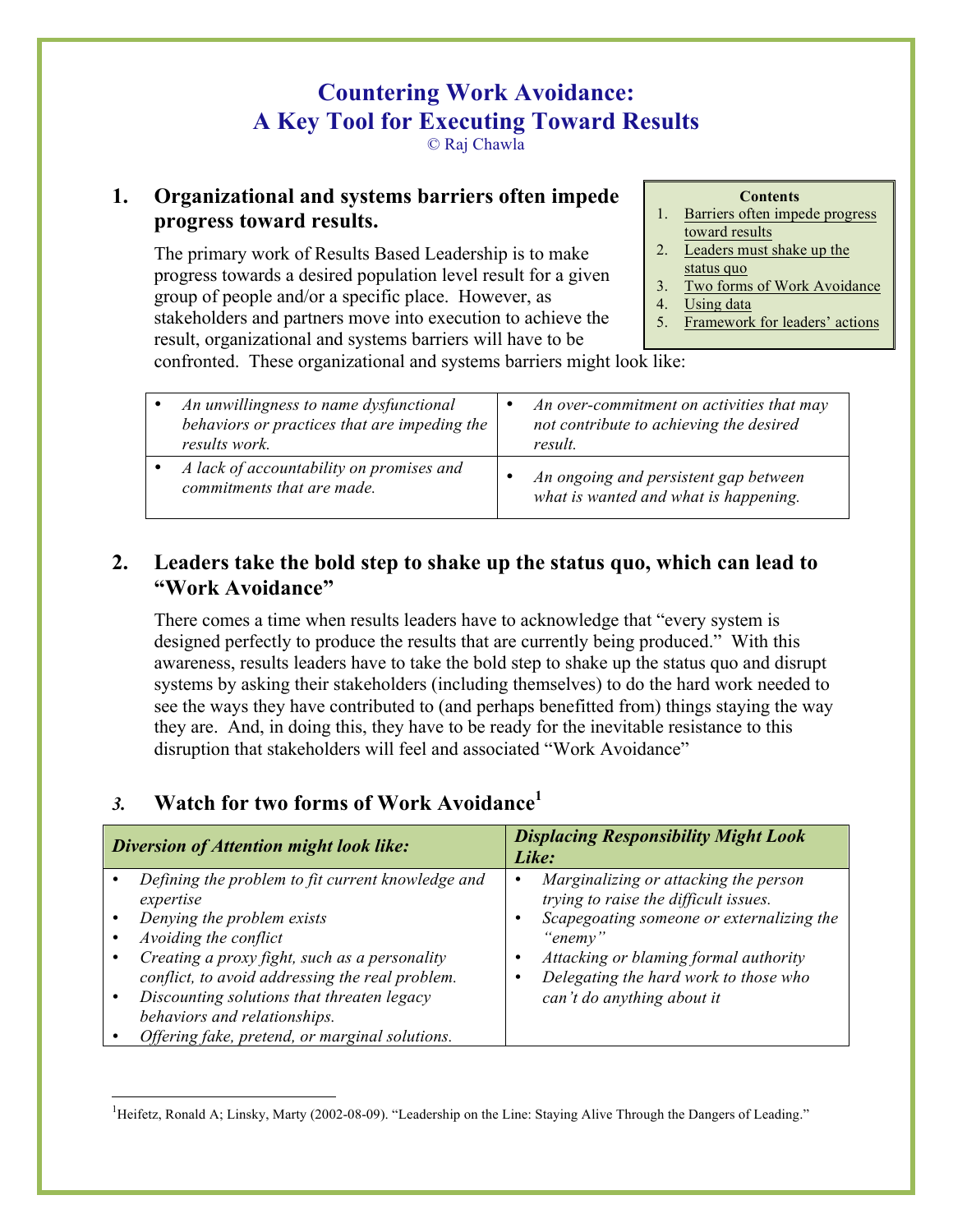# **Countering Work Avoidance: A Key Tool for Executing Toward Results**

© Raj Chawla

#### **1. Organizational and systems barriers often impede progress toward results.**

The primary work of Results Based Leadership is to make progress towards a desired population level result for a given group of people and/or a specific place. However, as stakeholders and partners move into execution to achieve the result, organizational and systems barriers will have to be

**Contents**

- 1. Barriers often impede progress toward results
- 2. Leaders must shake up the status quo
- 3. Two forms of Work Avoidance
- 4. Using data
- 5. Framework for leaders' actions

confronted. These organizational and systems barriers might look like:

| An unwillingness to name dysfunctional<br>behaviors or practices that are impeding the<br>results work. | An over-commitment on activities that may<br>not contribute to achieving the desired<br>result. |
|---------------------------------------------------------------------------------------------------------|-------------------------------------------------------------------------------------------------|
| A lack of accountability on promises and<br>commitments that are made.                                  | An ongoing and persistent gap between<br>what is wanted and what is happening.                  |

### **2. Leaders take the bold step to shake up the status quo, which can lead to "Work Avoidance"**

There comes a time when results leaders have to acknowledge that "every system is designed perfectly to produce the results that are currently being produced." With this awareness, results leaders have to take the bold step to shake up the status quo and disrupt systems by asking their stakeholders (including themselves) to do the hard work needed to see the ways they have contributed to (and perhaps benefitted from) things staying the way they are. And, in doing this, they have to be ready for the inevitable resistance to this disruption that stakeholders will feel and associated "Work Avoidance"

## *3.* **Watch for two forms of Work Avoidance<sup>1</sup>**

| Diversion of Attention might look like:           | <b>Displacing Responsibility Might Look</b><br>Like: |
|---------------------------------------------------|------------------------------------------------------|
| Defining the problem to fit current knowledge and | Marginalizing or attacking the person                |
| expertise                                         | ٠                                                    |
| Denying the problem exists                        | trying to raise the difficult issues.                |
| Avoiding the conflict                             | Scapegoating someone or externalizing the            |
| Creating a proxy fight, such as a personality     | ٠                                                    |
| conflict, to avoid addressing the real problem.   | "enemy"                                              |
| Discounting solutions that threaten legacy        | Attacking or blaming formal authority                |
| behaviors and relationships.                      | Delegating the hard work to those who                |
| Offering fake, pretend, or marginal solutions.    | can't do anything about it                           |

 $\frac{1}{1}$ <sup>1</sup>Heifetz, Ronald A; Linsky, Marty (2002-08-09). "Leadership on the Line: Staying Alive Through the Dangers of Leading."